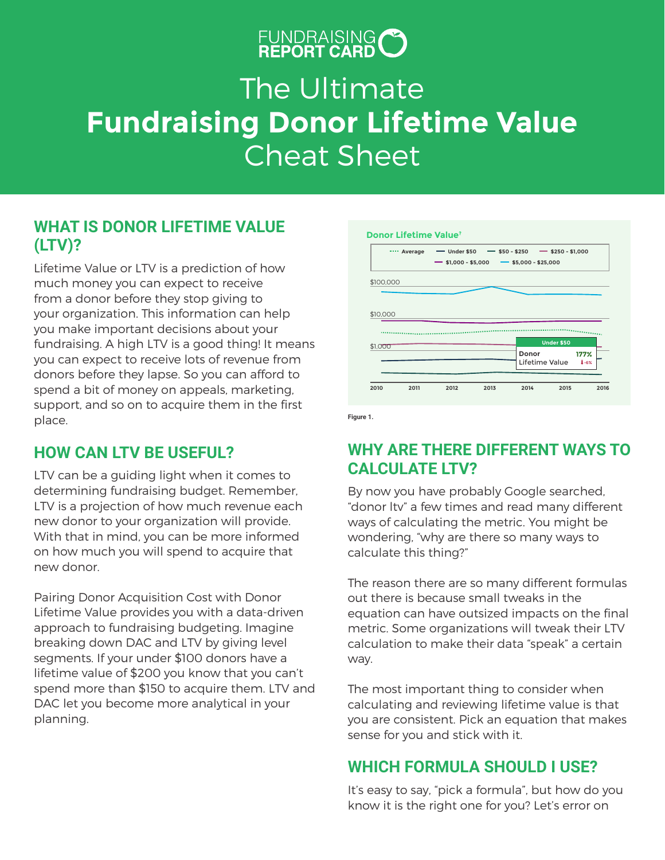# FUNDRAISING O

# The Ultimate **Fundraising Donor Lifetime Value** Cheat Sheet

#### **WHAT IS DONOR LIFETIME VALUE (LTV)?**

Lifetime Value or LTV is a prediction of how much money you can expect to receive from a donor before they stop giving to your organization. This information can help you make important decisions about your fundraising. A high LTV is a good thing! It means you can expect to receive lots of revenue from donors before they lapse. So you can afford to spend a bit of money on appeals, marketing, support, and so on to acquire them in the first place.

### **HOW CAN LTV BE USEFUL?**

LTV can be a guiding light when it comes to determining fundraising budget. Remember, LTV is a projection of how much revenue each new donor to your organization will provide. With that in mind, you can be more informed on how much you will spend to acquire that new donor.

Pairing Donor Acquisition Cost with Donor Lifetime Value provides you with a data-driven approach to fundraising budgeting. Imagine breaking down DAC and LTV by giving level segments. If your under \$100 donors have a lifetime value of \$200 you know that you can't spend more than \$150 to acquire them. LTV and DAC let you become more analytical in your planning.



**Figure 1.**

#### **WHY ARE THERE DIFFERENT WAYS TO CALCULATE LTV?**

By now you have probably Google searched, "donor ltv" a few times and read many different ways of calculating the metric. You might be wondering, "why are there so many ways to calculate this thing?"

The reason there are so many different formulas out there is because small tweaks in the equation can have outsized impacts on the final metric. Some organizations will tweak their LTV calculation to make their data "speak" a certain way.

The most important thing to consider when calculating and reviewing lifetime value is that you are consistent. Pick an equation that makes sense for you and stick with it.

#### **WHICH FORMULA SHOULD I USE?**

It's easy to say, "pick a formula", but how do you know it is the right one for you? Let's error on